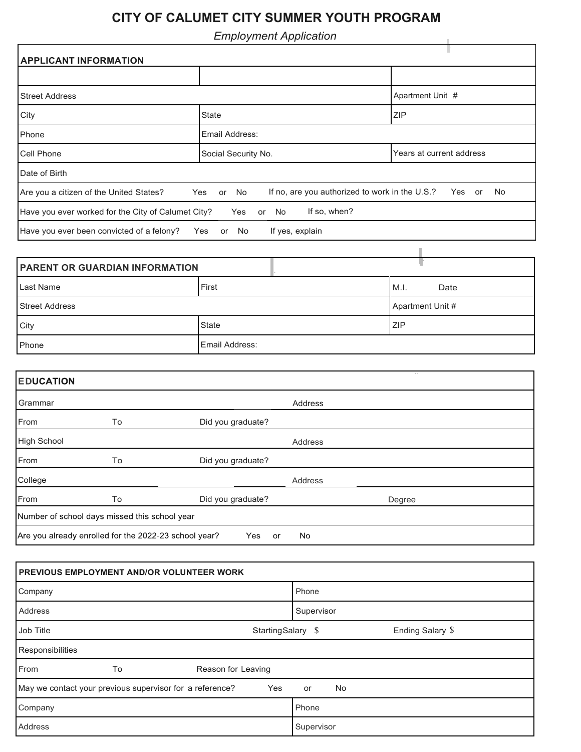## **CITY OF CALUMET CITY SUMMER YOUTH PROGRAM**

*Employment Application*

| Employment Application                                                                                                          |                              |                          |  |  |  |
|---------------------------------------------------------------------------------------------------------------------------------|------------------------------|--------------------------|--|--|--|
| <b>APPLICANT INFORMATION</b>                                                                                                    |                              |                          |  |  |  |
|                                                                                                                                 |                              |                          |  |  |  |
| <b>Street Address</b>                                                                                                           |                              | Apartment Unit #         |  |  |  |
| City                                                                                                                            | <b>State</b>                 | <b>ZIP</b>               |  |  |  |
| Phone                                                                                                                           | Email Address:               |                          |  |  |  |
| <b>Cell Phone</b>                                                                                                               | Social Security No.          | Years at current address |  |  |  |
| Date of Birth                                                                                                                   |                              |                          |  |  |  |
| Are you a citizen of the United States?<br>If no, are you authorized to work in the U.S.?<br>No<br>Yes<br>or<br>Yes<br>No<br>or |                              |                          |  |  |  |
| If so, when?<br>Have you ever worked for the City of Calumet City?<br>Yes<br>No<br>or                                           |                              |                          |  |  |  |
| Have you ever been convicted of a felony?                                                                                       | If yes, explain<br>Yes or No |                          |  |  |  |

| <b>PARENT OR GUARDIAN INFORMATION</b> |                       |                  |
|---------------------------------------|-----------------------|------------------|
| Last Name                             | First                 | M.I.<br>Date     |
| <b>Street Address</b>                 |                       | Apartment Unit # |
| City                                  | <b>State</b>          | <b>ZIP</b>       |
| Phone                                 | <b>Email Address:</b> |                  |

| <b>EDUCATION</b>                                                         |    |                   |         | $\sim$ $\sim$ |  |
|--------------------------------------------------------------------------|----|-------------------|---------|---------------|--|
| Grammar                                                                  |    |                   | Address |               |  |
| From                                                                     | To | Did you graduate? |         |               |  |
| High School                                                              |    |                   | Address |               |  |
| From                                                                     | To | Did you graduate? |         |               |  |
| College                                                                  |    |                   | Address |               |  |
| From                                                                     | To | Did you graduate? |         | Degree        |  |
| Number of school days missed this school year                            |    |                   |         |               |  |
| Are you already enrolled for the 2022-23 school year?<br>No<br>Yes<br>or |    |                   |         |               |  |

| <b>PREVIOUS EMPLOYMENT AND/OR VOLUNTEER WORK</b>                |                                        |  |  |  |
|-----------------------------------------------------------------|----------------------------------------|--|--|--|
| Company                                                         | Phone                                  |  |  |  |
| Address                                                         | Supervisor                             |  |  |  |
| Job Title                                                       | Ending Salary \$<br>Starting Salary \$ |  |  |  |
| Responsibilities                                                |                                        |  |  |  |
| From<br>To<br>Reason for Leaving                                |                                        |  |  |  |
| May we contact your previous supervisor for a reference?<br>Yes | No<br>or                               |  |  |  |
| Company                                                         | Phone                                  |  |  |  |
| Address                                                         | Supervisor                             |  |  |  |